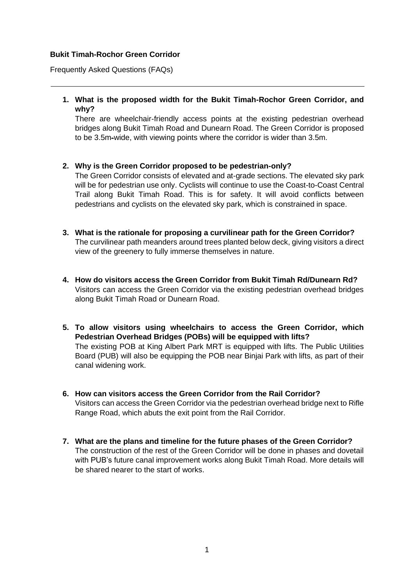## **Bukit Timah-Rochor Green Corridor**

Frequently Asked Questions (FAQs)

**1. What is the proposed width for the Bukit Timah-Rochor Green Corridor, and why?** 

There are wheelchair-friendly access points at the existing pedestrian overhead bridges along Bukit Timah Road and Dunearn Road. The Green Corridor is proposed to be 3.5m-wide, with viewing points where the corridor is wider than 3.5m.

**2. Why is the Green Corridor proposed to be pedestrian-only?**

The Green Corridor consists of elevated and at-grade sections. The elevated sky park will be for pedestrian use only. Cyclists will continue to use the Coast-to-Coast Central Trail along Bukit Timah Road. This is for safety. It will avoid conflicts between pedestrians and cyclists on the elevated sky park, which is constrained in space.

- **3. What is the rationale for proposing a curvilinear path for the Green Corridor?** The curvilinear path meanders around trees planted below deck, giving visitors a direct view of the greenery to fully immerse themselves in nature.
- **4. How do visitors access the Green Corridor from Bukit Timah Rd/Dunearn Rd?** Visitors can access the Green Corridor via the existing pedestrian overhead bridges along Bukit Timah Road or Dunearn Road.
- **5. To allow visitors using wheelchairs to access the Green Corridor, which Pedestrian Overhead Bridges (POBs) will be equipped with lifts?**  The existing POB at King Albert Park MRT is equipped with lifts. The Public Utilities Board (PUB) will also be equipping the POB near Binjai Park with lifts, as part of their canal widening work.
- **6. How can visitors access the Green Corridor from the Rail Corridor?** Visitors can access the Green Corridor via the pedestrian overhead bridge next to Rifle Range Road, which abuts the exit point from the Rail Corridor.
- **7. What are the plans and timeline for the future phases of the Green Corridor?** The construction of the rest of the Green Corridor will be done in phases and dovetail with PUB's future canal improvement works along Bukit Timah Road. More details will be shared nearer to the start of works.